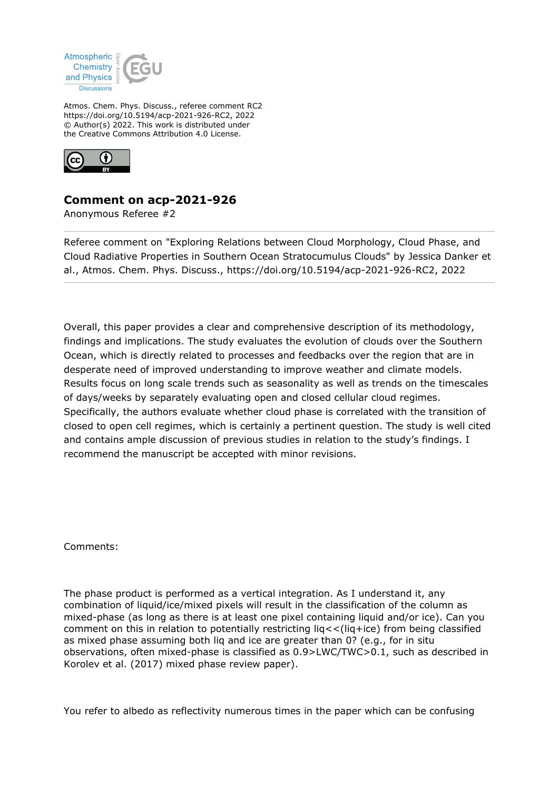

Atmos. Chem. Phys. Discuss., referee comment RC2 https://doi.org/10.5194/acp-2021-926-RC2, 2022 © Author(s) 2022. This work is distributed under the Creative Commons Attribution 4.0 License.



## **Comment on acp-2021-926**

Anonymous Referee #2

Referee comment on "Exploring Relations between Cloud Morphology, Cloud Phase, and Cloud Radiative Properties in Southern Ocean Stratocumulus Clouds" by Jessica Danker et al., Atmos. Chem. Phys. Discuss., https://doi.org/10.5194/acp-2021-926-RC2, 2022

Overall, this paper provides a clear and comprehensive description of its methodology, findings and implications. The study evaluates the evolution of clouds over the Southern Ocean, which is directly related to processes and feedbacks over the region that are in desperate need of improved understanding to improve weather and climate models. Results focus on long scale trends such as seasonality as well as trends on the timescales of days/weeks by separately evaluating open and closed cellular cloud regimes. Specifically, the authors evaluate whether cloud phase is correlated with the transition of closed to open cell regimes, which is certainly a pertinent question. The study is well cited and contains ample discussion of previous studies in relation to the study's findings. I recommend the manuscript be accepted with minor revisions.

Comments:

The phase product is performed as a vertical integration. As I understand it, any combination of liquid/ice/mixed pixels will result in the classification of the column as mixed-phase (as long as there is at least one pixel containing liquid and/or ice). Can you comment on this in relation to potentially restricting liq<<(liq+ice) from being classified as mixed phase assuming both liq and ice are greater than 0? (e.g., for in situ observations, often mixed-phase is classified as 0.9>LWC/TWC>0.1, such as described in Korolev et al. (2017) mixed phase review paper).

You refer to albedo as reflectivity numerous times in the paper which can be confusing